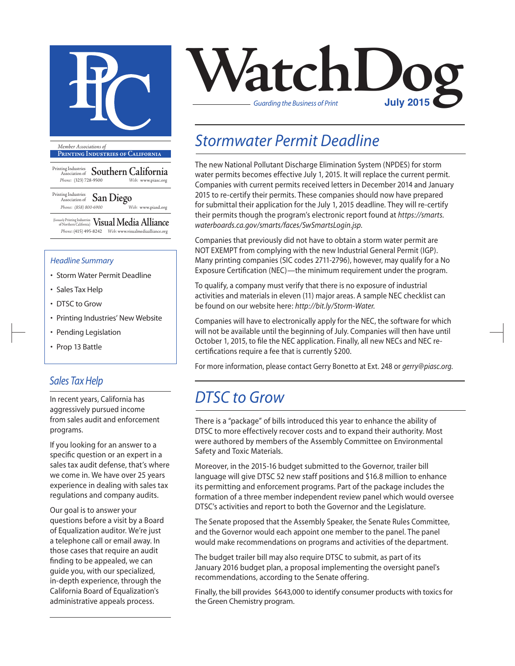

**Printing Industries of California**

Printing Industries Association of **Southern California** *Phone:* (323) 728-9500 *Web:* www.piasc.org

Printing Industries Association of **San Diego** *Phone: (858) 800-6900 Web:* www.piasd.org

(formerly Printing Industries of Northern California) **Visual Media Alliance** *Phone:* (415) 495-8242 *Web:* www.visualmediaalliance.org

#### *Headline Summary*

- Storm Water Permit Deadline
- Sales Tax Help
- DTSC to Grow
- Printing Industries' New Website
- Pending Legislation
- Prop 13 Battle

#### *Sales Tax Help*

In recent years, California has aggressively pursued income from sales audit and enforcement programs.

If you looking for an answer to a specific question or an expert in a sales tax audit defense, that's where we come in. We have over 25 years experience in dealing with sales tax regulations and company audits.

Our goal is to answer your questions before a visit by a Board of Equalization auditor. We're just a telephone call or email away. In those cases that require an audit finding to be appealed, we can guide you, with our specialized, in-depth experience, through the California Board of Equalization's administrative appeals process.



#### *Stormwater Permit Deadline*

The new National Pollutant Discharge Elimination System (NPDES) for storm water permits becomes effective July 1, 2015. It will replace the current permit. Companies with current permits received letters in December 2014 and January 2015 to re-certify their permits. These companies should now have prepared for submittal their application for the July 1, 2015 deadline. They will re-certify their permits though the program's electronic report found at *https://smarts. waterboards.ca.gov/smarts/faces/SwSmartsLogin.jsp.* 

Companies that previously did not have to obtain a storm water permit are NOT EXEMPT from complying with the new Industrial General Permit (IGP). Many printing companies (SIC codes 2711-2796), however, may qualify for a No Exposure Certification (NEC)—the minimum requirement under the program.

To qualify, a company must verify that there is no exposure of industrial activities and materials in eleven (11) major areas. A sample NEC checklist can be found on our website here: *http://bit.ly/Storm-Water.*

Companies will have to electronically apply for the NEC, the software for which will not be available until the beginning of July. Companies will then have until October 1, 2015, to file the NEC application. Finally, all new NECs and NEC recertifications require a fee that is currently \$200.

For more information, please contact Gerry Bonetto at Ext. 248 or *gerry@piasc.org*.

#### *DTSC to Grow*

There is a "package" of bills introduced this year to enhance the ability of DTSC to more effectively recover costs and to expand their authority. Most were authored by members of the Assembly Committee on Environmental Safety and Toxic Materials.

Moreover, in the 2015-16 budget submitted to the Governor, trailer bill language will give DTSC 52 new staff positions and \$16.8 million to enhance its permitting and enforcement programs. Part of the package includes the formation of a three member independent review panel which would oversee DTSC's activities and report to both the Governor and the Legislature.

The Senate proposed that the Assembly Speaker, the Senate Rules Committee, and the Governor would each appoint one member to the panel. The panel would make recommendations on programs and activities of the department.

The budget trailer bill may also require DTSC to submit, as part of its January 2016 budget plan, a proposal implementing the oversight panel's recommendations, according to the Senate offering.

Finally, the bill provides \$643,000 to identify consumer products with toxics for the Green Chemistry program.